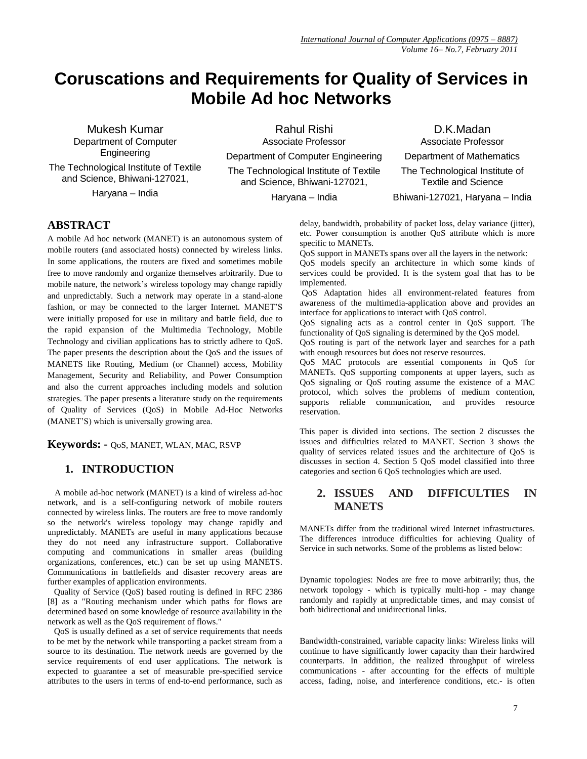# **Coruscations and Requirements for Quality of Services in Mobile Ad hoc Networks**

Mukesh Kumar Department of Computer Engineering The Technological Institute of Textile and Science, Bhiwani-127021, Haryana – India

Rahul Rishi Associate Professor Department of Computer Engineering The Technological Institute of Textile and Science, Bhiwani-127021,

Haryana – India

D.K.Madan Associate Professor Department of Mathematics The Technological Institute of Textile and Science Bhiwani-127021, Haryana – India

## **ABSTRACT**

A mobile Ad hoc network (MANET) is an autonomous system of mobile routers (and associated hosts) connected by wireless links. In some applications, the routers are fixed and sometimes mobile free to move randomly and organize themselves arbitrarily. Due to mobile nature, the network's wireless topology may change rapidly and unpredictably. Such a network may operate in a stand-alone fashion, or may be connected to the larger Internet. MANET'S were initially proposed for use in military and battle field, due to the rapid expansion of the Multimedia Technology, Mobile Technology and civilian applications has to strictly adhere to QoS. The paper presents the description about the QoS and the issues of MANETS like Routing, Medium (or Channel) access, Mobility Management, Security and Reliability, and Power Consumption and also the current approaches including models and solution strategies. The paper presents a literature study on the requirements of Quality of Services (QoS) in Mobile Ad-Hoc Networks (MANET'S) which is universally growing area.

**Keywords: -** QoS, MANET, WLAN, MAC, RSVP

# **1. INTRODUCTION**

 A mobile ad-hoc network (MANET) is a kind of wireless ad-hoc network, and is a self-configuring network of mobile routers connected by wireless links. The routers are free to move randomly so the network's wireless topology may change rapidly and unpredictably. MANETs are useful in many applications because they do not need any infrastructure support. Collaborative computing and communications in smaller areas (building organizations, conferences, etc.) can be set up using MANETS. Communications in battlefields and disaster recovery areas are further examples of application environments.

 Quality of Service (QoS) based routing is defined in RFC 2386 [8] as a "Routing mechanism under which paths for flows are determined based on some knowledge of resource availability in the network as well as the QoS requirement of flows."

 QoS is usually defined as a set of service requirements that needs to be met by the network while transporting a packet stream from a source to its destination. The network needs are governed by the service requirements of end user applications. The network is expected to guarantee a set of measurable pre-specified service attributes to the users in terms of end-to-end performance, such as delay, bandwidth, probability of packet loss, delay variance (jitter), etc. Power consumption is another QoS attribute which is more specific to MANET<sub>s</sub>.

QoS support in MANETs spans over all the layers in the network:

QoS models specify an architecture in which some kinds of services could be provided. It is the system goal that has to be implemented.

QoS Adaptation hides all environment-related features from awareness of the multimedia-application above and provides an interface for applications to interact with QoS control.

QoS signaling acts as a control center in QoS support. The functionality of QoS signaling is determined by the QoS model.

QoS routing is part of the network layer and searches for a path with enough resources but does not reserve resources.

QoS MAC protocols are essential components in QoS for MANETs. QoS supporting components at upper layers, such as QoS signaling or QoS routing assume the existence of a MAC protocol, which solves the problems of medium contention, supports reliable communication, and provides resource reservation.

This paper is divided into sections. The section 2 discusses the issues and difficulties related to MANET. Section 3 shows the quality of services related issues and the architecture of QoS is discusses in section 4. Section 5 QoS model classified into three categories and section 6 QoS technologies which are used.

# **2. ISSUES AND DIFFICULTIES IN MANETS**

MANETs differ from the traditional wired Internet infrastructures. The differences introduce difficulties for achieving Quality of Service in such networks. Some of the problems as listed below:

Dynamic topologies: Nodes are free to move arbitrarily; thus, the network topology - which is typically multi-hop - may change randomly and rapidly at unpredictable times, and may consist of both bidirectional and unidirectional links.

Bandwidth-constrained, variable capacity links: Wireless links will continue to have significantly lower capacity than their hardwired counterparts. In addition, the realized throughput of wireless communications - after accounting for the effects of multiple access, fading, noise, and interference conditions, etc.- is often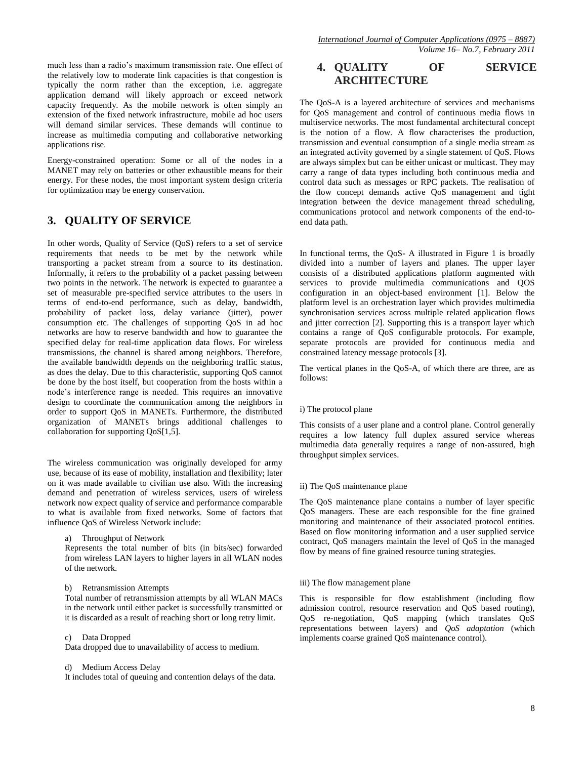much less than a radio's maximum transmission rate. One effect of the relatively low to moderate link capacities is that congestion is typically the norm rather than the exception, i.e. aggregate application demand will likely approach or exceed network capacity frequently. As the mobile network is often simply an extension of the fixed network infrastructure, mobile ad hoc users will demand similar services. These demands will continue to increase as multimedia computing and collaborative networking applications rise.

Energy-constrained operation: Some or all of the nodes in a MANET may rely on batteries or other exhaustible means for their energy. For these nodes, the most important system design criteria for optimization may be energy conservation.

# **3. QUALITY OF SERVICE**

In other words, Quality of Service (QoS) refers to a set of service requirements that needs to be met by the network while transporting a packet stream from a source to its destination. Informally, it refers to the probability of a packet passing between two points in the network. The network is expected to guarantee a set of measurable pre-specified service attributes to the users in terms of end-to-end performance, such as delay, bandwidth, probability of packet loss, delay variance (jitter), power consumption etc. The challenges of supporting QoS in ad hoc networks are how to reserve bandwidth and how to guarantee the specified delay for real-time application data flows. For wireless transmissions, the channel is shared among neighbors. Therefore, the available bandwidth depends on the neighboring traffic status, as does the delay. Due to this characteristic, supporting QoS cannot be done by the host itself, but cooperation from the hosts within a node's interference range is needed. This requires an innovative design to coordinate the communication among the neighbors in order to support QoS in MANETs. Furthermore, the distributed organization of MANETs brings additional challenges to collaboration for supporting QoS[1,5].

The wireless communication was originally developed for army use, because of its ease of mobility, installation and flexibility; later on it was made available to civilian use also. With the increasing demand and penetration of wireless services, users of wireless network now expect quality of service and performance comparable to what is available from fixed networks. Some of factors that influence QoS of Wireless Network include:

a) Throughput of Network

Represents the total number of bits (in bits/sec) forwarded from wireless LAN layers to higher layers in all WLAN nodes of the network.

b) Retransmission Attempts

Total number of retransmission attempts by all WLAN MACs in the network until either packet is successfully transmitted or it is discarded as a result of reaching short or long retry limit.

#### c) Data Dropped

Data dropped due to unavailability of access to medium.

#### d) Medium Access Delay

It includes total of queuing and contention delays of the data.

# **4. QUALITY OF SERVICE ARCHITECTURE**

The QoS-A is a layered architecture of services and mechanisms for QoS management and control of continuous media flows in multiservice networks. The most fundamental architectural concept is the notion of a flow. A flow characterises the production, transmission and eventual consumption of a single media stream as an integrated activity governed by a single statement of QoS. Flows are always simplex but can be either unicast or multicast. They may carry a range of data types including both continuous media and control data such as messages or RPC packets. The realisation of the flow concept demands active QoS management and tight integration between the device management thread scheduling, communications protocol and network components of the end-toend data path.

In functional terms, the QoS- A illustrated in Figure 1 is broadly divided into a number of layers and planes. The upper layer consists of a distributed applications platform augmented with services to provide multimedia communications and QOS configuration in an object-based environment [1]. Below the platform level is an orchestration layer which provides multimedia synchronisation services across multiple related application flows and jitter correction [2]. Supporting this is a transport layer which contains a range of QoS configurable protocols. For example, separate protocols are provided for continuous media and constrained latency message protocols [3].

The vertical planes in the QoS-A, of which there are three, are as follows:

#### i) The protocol plane

This consists of a user plane and a control plane. Control generally requires a low latency full duplex assured service whereas multimedia data generally requires a range of non-assured, high throughput simplex services.

#### ii) The QoS maintenance plane

The QoS maintenance plane contains a number of layer specific QoS managers. These are each responsible for the fine grained monitoring and maintenance of their associated protocol entities. Based on flow monitoring information and a user supplied service contract, QoS managers maintain the level of QoS in the managed flow by means of fine grained resource tuning strategies.

## iii) The flow management plane

This is responsible for flow establishment (including flow admission control, resource reservation and QoS based routing), QoS re-negotiation, QoS mapping (which translates QoS representations between layers) and *QoS adaptation* (which implements coarse grained QoS maintenance control).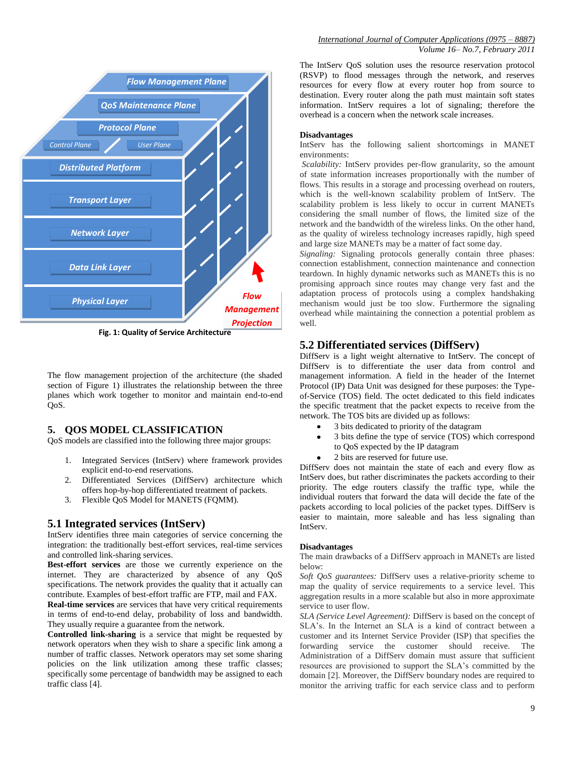

**Fig. 1: Quality of Service Architecture**

The flow management projection of the architecture (the shaded section of Figure 1) illustrates the relationship between the three planes which work together to monitor and maintain end-to-end QoS.

## **5. QOS MODEL CLASSIFICATION**

QoS models are classified into the following three major groups:

- 1. Integrated Services (IntServ) where framework provides explicit end-to-end reservations.
- 2. Differentiated Services (DiffServ) architecture which offers hop-by-hop differentiated treatment of packets.
- 3. Flexible QoS Model for MANETS (FQMM).

## **5.1 Integrated services (IntServ)**

IntServ identifies three main categories of service concerning the integration: the traditionally best-effort services, real-time services and controlled link-sharing services.

**Best-effort services** are those we currently experience on the internet. They are characterized by absence of any QoS specifications. The network provides the quality that it actually can contribute. Examples of best-effort traffic are FTP, mail and FAX.

**Real-time services** are services that have very critical requirements in terms of end-to-end delay, probability of loss and bandwidth. They usually require a guarantee from the network.

**Controlled link-sharing** is a service that might be requested by network operators when they wish to share a specific link among a number of traffic classes. Network operators may set some sharing policies on the link utilization among these traffic classes; specifically some percentage of bandwidth may be assigned to each traffic class [4].

The IntServ QoS solution uses the resource reservation protocol (RSVP) to flood messages through the network, and reserves resources for every flow at every router hop from source to destination. Every router along the path must maintain soft states information. IntServ requires a lot of signaling; therefore the overhead is a concern when the network scale increases.

#### **Disadvantages**

IntServ has the following salient shortcomings in MANET environments:

*Scalability:* IntServ provides per-flow granularity, so the amount of state information increases proportionally with the number of flows. This results in a storage and processing overhead on routers, which is the well-known scalability problem of IntServ. The scalability problem is less likely to occur in current MANETs considering the small number of flows, the limited size of the network and the bandwidth of the wireless links. On the other hand, as the quality of wireless technology increases rapidly, high speed and large size MANETs may be a matter of fact some day.

*Signaling:* Signaling protocols generally contain three phases: connection establishment, connection maintenance and connection teardown. In highly dynamic networks such as MANETs this is no promising approach since routes may change very fast and the adaptation process of protocols using a complex handshaking mechanism would just be too slow. Furthermore the signaling overhead while maintaining the connection a potential problem as well.

# **5.2 Differentiated services (DiffServ)**

DiffServ is a light weight alternative to IntServ. The concept of DiffServ is to differentiate the user data from control and management information. A field in the header of the Internet Protocol (IP) Data Unit was designed for these purposes: the Typeof-Service (TOS) field. The octet dedicated to this field indicates the specific treatment that the packet expects to receive from the network. The TOS bits are divided up as follows:

- 3 bits dedicated to priority of the datagram  $\bullet$
- 3 bits define the type of service (TOS) which correspond  $\bullet$ to QoS expected by the IP datagram
- 2 bits are reserved for future use.

DiffServ does not maintain the state of each and every flow as IntServ does, but rather discriminates the packets according to their priority. The edge routers classify the traffic type, while the individual routers that forward the data will decide the fate of the packets according to local policies of the packet types. DiffServ is easier to maintain, more saleable and has less signaling than IntServ.

#### **Disadvantages**

The main drawbacks of a DiffServ approach in MANETs are listed below:

*Soft QoS guarantees:* DiffServ uses a relative-priority scheme to map the quality of service requirements to a service level. This aggregation results in a more scalable but also in more approximate service to user flow.

*SLA (Service Level Agreement):* DiffServ is based on the concept of SLA's. In the Internet an SLA is a kind of contract between a customer and its Internet Service Provider (ISP) that specifies the forwarding service the customer should receive. The Administration of a DiffServ domain must assure that sufficient resources are provisioned to support the SLA's committed by the domain [2]. Moreover, the DiffServ boundary nodes are required to monitor the arriving traffic for each service class and to perform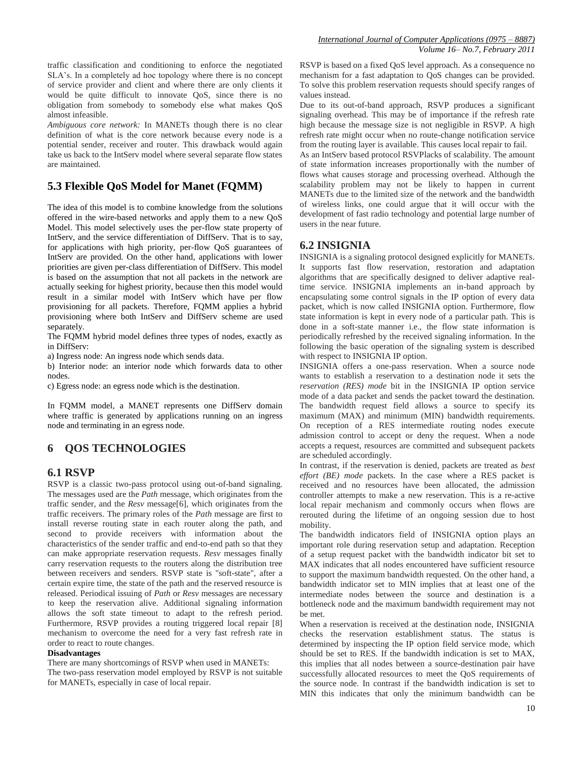traffic classification and conditioning to enforce the negotiated SLA's. In a completely ad hoc topology where there is no concept of service provider and client and where there are only clients it would be quite difficult to innovate QoS, since there is no obligation from somebody to somebody else what makes QoS almost infeasible.

*Ambiguous core network:* In MANETs though there is no clear definition of what is the core network because every node is a potential sender, receiver and router. This drawback would again take us back to the IntServ model where several separate flow states are maintained.

# **5.3 Flexible QoS Model for Manet (FQMM)**

The idea of this model is to combine knowledge from the solutions offered in the wire-based networks and apply them to a new QoS Model. This model selectively uses the per-flow state property of IntServ, and the service differentiation of DiffServ. That is to say, for applications with high priority, per-flow QoS guarantees of IntServ are provided. On the other hand, applications with lower priorities are given per-class differentiation of DiffServ. This model is based on the assumption that not all packets in the network are actually seeking for highest priority, because then this model would result in a similar model with IntServ which have per flow provisioning for all packets. Therefore, FQMM applies a hybrid provisioning where both IntServ and DiffServ scheme are used separately.

The FQMM hybrid model defines three types of nodes, exactly as in DiffServ:

a) Ingress node: An ingress node which sends data.

b) Interior node: an interior node which forwards data to other nodes.

c) Egress node: an egress node which is the destination.

In FQMM model, a MANET represents one DiffServ domain where traffic is generated by applications running on an ingress node and terminating in an egress node.

# **6 QOS TECHNOLOGIES**

## **6.1 RSVP**

RSVP is a classic two-pass protocol using out-of-band signaling. The messages used are the *Path* message, which originates from the traffic sender, and the *Resv* message[6], which originates from the traffic receivers. The primary roles of the *Path* message are first to install reverse routing state in each router along the path, and second to provide receivers with information about the characteristics of the sender traffic and end-to-end path so that they can make appropriate reservation requests. *Resv* messages finally carry reservation requests to the routers along the distribution tree between receivers and senders. RSVP state is "soft-state", after a certain expire time, the state of the path and the reserved resource is released. Periodical issuing of *Path* or *Resv* messages are necessary to keep the reservation alive. Additional signaling information allows the soft state timeout to adapt to the refresh period. Furthermore, RSVP provides a routing triggered local repair [8] mechanism to overcome the need for a very fast refresh rate in order to react to route changes.

#### **Disadvantages**

There are many shortcomings of RSVP when used in MANETs: The two-pass reservation model employed by RSVP is not suitable for MANETs, especially in case of local repair.

RSVP is based on a fixed QoS level approach. As a consequence no mechanism for a fast adaptation to QoS changes can be provided. To solve this problem reservation requests should specify ranges of values instead.

Due to its out-of-band approach, RSVP produces a significant signaling overhead. This may be of importance if the refresh rate high because the message size is not negligible in RSVP. A high refresh rate might occur when no route-change notification service from the routing layer is available. This causes local repair to fail.

As an IntServ based protocol RSVPlacks of scalability. The amount of state information increases proportionally with the number of flows what causes storage and processing overhead. Although the scalability problem may not be likely to happen in current MANETs due to the limited size of the network and the bandwidth of wireless links, one could argue that it will occur with the development of fast radio technology and potential large number of users in the near future.

## **6.2 INSIGNIA**

INSIGNIA is a signaling protocol designed explicitly for MANETs. It supports fast flow reservation, restoration and adaptation algorithms that are specifically designed to deliver adaptive realtime service. INSIGNIA implements an in-band approach by encapsulating some control signals in the IP option of every data packet, which is now called INSIGNIA option. Furthermore, flow state information is kept in every node of a particular path. This is done in a soft-state manner i.e., the flow state information is periodically refreshed by the received signaling information. In the following the basic operation of the signaling system is described with respect to INSIGNIA IP option.

INSIGNIA offers a one-pass reservation. When a source node wants to establish a reservation to a destination node it sets the *reservation (RES) mode* bit in the INSIGNIA IP option service mode of a data packet and sends the packet toward the destination. The bandwidth request field allows a source to specify its maximum (MAX) and minimum (MIN) bandwidth requirements. On reception of a RES intermediate routing nodes execute admission control to accept or deny the request. When a node accepts a request, resources are committed and subsequent packets are scheduled accordingly.

In contrast, if the reservation is denied, packets are treated as *best effort (BE) mode* packets. In the case where a RES packet is received and no resources have been allocated, the admission controller attempts to make a new reservation. This is a re-active local repair mechanism and commonly occurs when flows are rerouted during the lifetime of an ongoing session due to host mobility.

The bandwidth indicators field of INSIGNIA option plays an important role during reservation setup and adaptation. Reception of a setup request packet with the bandwidth indicator bit set to MAX indicates that all nodes encountered have sufficient resource to support the maximum bandwidth requested. On the other hand, a bandwidth indicator set to MIN implies that at least one of the intermediate nodes between the source and destination is a bottleneck node and the maximum bandwidth requirement may not be met.

When a reservation is received at the destination node, INSIGNIA checks the reservation establishment status. The status is determined by inspecting the IP option field service mode, which should be set to RES. If the bandwidth indication is set to MAX, this implies that all nodes between a source-destination pair have successfully allocated resources to meet the QoS requirements of the source node. In contrast if the bandwidth indication is set to MIN this indicates that only the minimum bandwidth can be